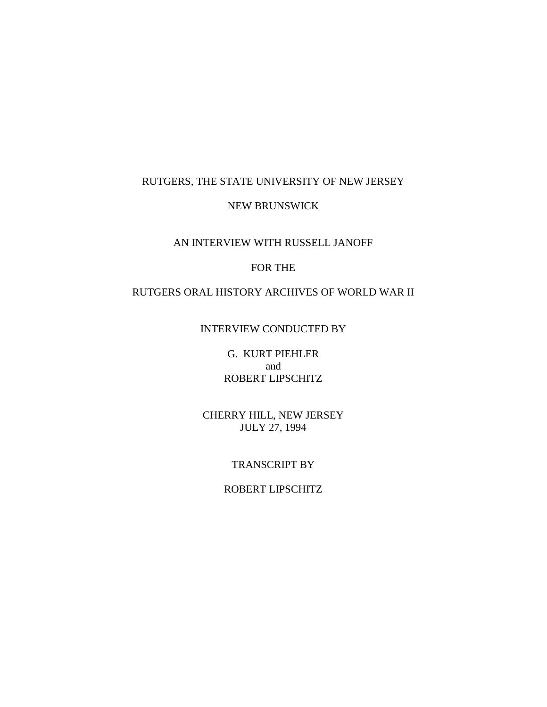# RUTGERS, THE STATE UNIVERSITY OF NEW JERSEY

## NEW BRUNSWICK

## AN INTERVIEW WITH RUSSELL JANOFF

# FOR THE

# RUTGERS ORAL HISTORY ARCHIVES OF WORLD WAR II

# INTERVIEW CONDUCTED BY

G. KURT PIEHLER and ROBERT LIPSCHITZ

CHERRY HILL, NEW JERSEY JULY 27, 1994

#### TRANSCRIPT BY

## ROBERT LIPSCHITZ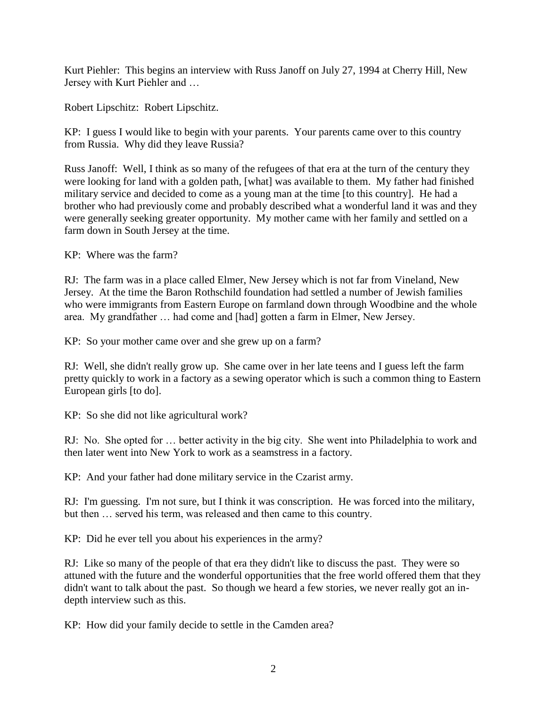Kurt Piehler: This begins an interview with Russ Janoff on July 27, 1994 at Cherry Hill, New Jersey with Kurt Piehler and …

Robert Lipschitz: Robert Lipschitz.

KP: I guess I would like to begin with your parents. Your parents came over to this country from Russia. Why did they leave Russia?

Russ Janoff: Well, I think as so many of the refugees of that era at the turn of the century they were looking for land with a golden path, [what] was available to them. My father had finished military service and decided to come as a young man at the time [to this country]. He had a brother who had previously come and probably described what a wonderful land it was and they were generally seeking greater opportunity. My mother came with her family and settled on a farm down in South Jersey at the time.

KP: Where was the farm?

RJ: The farm was in a place called Elmer, New Jersey which is not far from Vineland, New Jersey. At the time the Baron Rothschild foundation had settled a number of Jewish families who were immigrants from Eastern Europe on farmland down through Woodbine and the whole area. My grandfather … had come and [had] gotten a farm in Elmer, New Jersey.

KP: So your mother came over and she grew up on a farm?

RJ: Well, she didn't really grow up. She came over in her late teens and I guess left the farm pretty quickly to work in a factory as a sewing operator which is such a common thing to Eastern European girls [to do].

KP: So she did not like agricultural work?

RJ: No. She opted for … better activity in the big city. She went into Philadelphia to work and then later went into New York to work as a seamstress in a factory.

KP: And your father had done military service in the Czarist army.

RJ: I'm guessing. I'm not sure, but I think it was conscription. He was forced into the military, but then … served his term, was released and then came to this country.

KP: Did he ever tell you about his experiences in the army?

RJ: Like so many of the people of that era they didn't like to discuss the past. They were so attuned with the future and the wonderful opportunities that the free world offered them that they didn't want to talk about the past. So though we heard a few stories, we never really got an indepth interview such as this.

KP: How did your family decide to settle in the Camden area?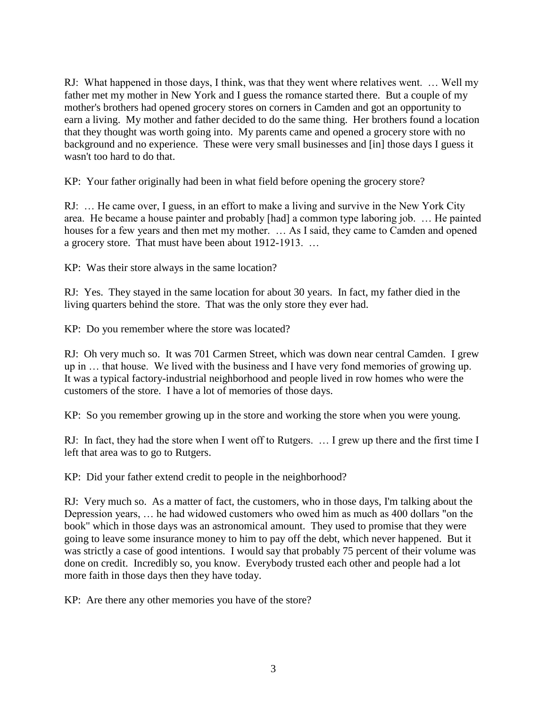RJ: What happened in those days, I think, was that they went where relatives went. … Well my father met my mother in New York and I guess the romance started there. But a couple of my mother's brothers had opened grocery stores on corners in Camden and got an opportunity to earn a living. My mother and father decided to do the same thing. Her brothers found a location that they thought was worth going into. My parents came and opened a grocery store with no background and no experience. These were very small businesses and [in] those days I guess it wasn't too hard to do that.

KP: Your father originally had been in what field before opening the grocery store?

RJ: … He came over, I guess, in an effort to make a living and survive in the New York City area. He became a house painter and probably [had] a common type laboring job. … He painted houses for a few years and then met my mother. … As I said, they came to Camden and opened a grocery store. That must have been about 1912-1913. …

KP: Was their store always in the same location?

RJ: Yes. They stayed in the same location for about 30 years. In fact, my father died in the living quarters behind the store. That was the only store they ever had.

KP: Do you remember where the store was located?

RJ: Oh very much so. It was 701 Carmen Street, which was down near central Camden. I grew up in … that house. We lived with the business and I have very fond memories of growing up. It was a typical factory-industrial neighborhood and people lived in row homes who were the customers of the store. I have a lot of memories of those days.

KP: So you remember growing up in the store and working the store when you were young.

RJ: In fact, they had the store when I went off to Rutgers. … I grew up there and the first time I left that area was to go to Rutgers.

KP: Did your father extend credit to people in the neighborhood?

RJ: Very much so. As a matter of fact, the customers, who in those days, I'm talking about the Depression years, … he had widowed customers who owed him as much as 400 dollars "on the book" which in those days was an astronomical amount. They used to promise that they were going to leave some insurance money to him to pay off the debt, which never happened. But it was strictly a case of good intentions. I would say that probably 75 percent of their volume was done on credit. Incredibly so, you know. Everybody trusted each other and people had a lot more faith in those days then they have today.

KP: Are there any other memories you have of the store?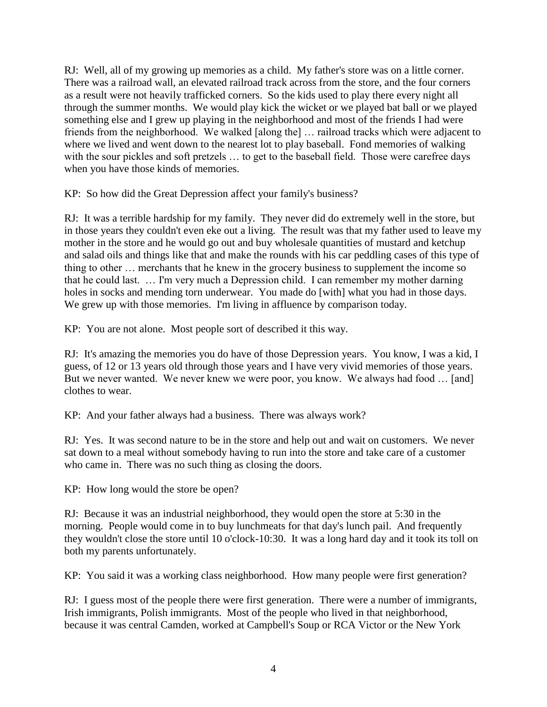RJ: Well, all of my growing up memories as a child. My father's store was on a little corner. There was a railroad wall, an elevated railroad track across from the store, and the four corners as a result were not heavily trafficked corners. So the kids used to play there every night all through the summer months. We would play kick the wicket or we played bat ball or we played something else and I grew up playing in the neighborhood and most of the friends I had were friends from the neighborhood. We walked [along the] … railroad tracks which were adjacent to where we lived and went down to the nearest lot to play baseball. Fond memories of walking with the sour pickles and soft pretzels … to get to the baseball field. Those were carefree days when you have those kinds of memories.

KP: So how did the Great Depression affect your family's business?

RJ: It was a terrible hardship for my family. They never did do extremely well in the store, but in those years they couldn't even eke out a living. The result was that my father used to leave my mother in the store and he would go out and buy wholesale quantities of mustard and ketchup and salad oils and things like that and make the rounds with his car peddling cases of this type of thing to other … merchants that he knew in the grocery business to supplement the income so that he could last. … I'm very much a Depression child. I can remember my mother darning holes in socks and mending torn underwear. You made do [with] what you had in those days. We grew up with those memories. I'm living in affluence by comparison today.

KP: You are not alone. Most people sort of described it this way.

RJ: It's amazing the memories you do have of those Depression years. You know, I was a kid, I guess, of 12 or 13 years old through those years and I have very vivid memories of those years. But we never wanted. We never knew we were poor, you know. We always had food ... [and] clothes to wear.

KP: And your father always had a business. There was always work?

RJ: Yes. It was second nature to be in the store and help out and wait on customers. We never sat down to a meal without somebody having to run into the store and take care of a customer who came in. There was no such thing as closing the doors.

KP: How long would the store be open?

RJ: Because it was an industrial neighborhood, they would open the store at 5:30 in the morning. People would come in to buy lunchmeats for that day's lunch pail. And frequently they wouldn't close the store until 10 o'clock-10:30. It was a long hard day and it took its toll on both my parents unfortunately.

KP: You said it was a working class neighborhood. How many people were first generation?

RJ: I guess most of the people there were first generation. There were a number of immigrants, Irish immigrants, Polish immigrants. Most of the people who lived in that neighborhood, because it was central Camden, worked at Campbell's Soup or RCA Victor or the New York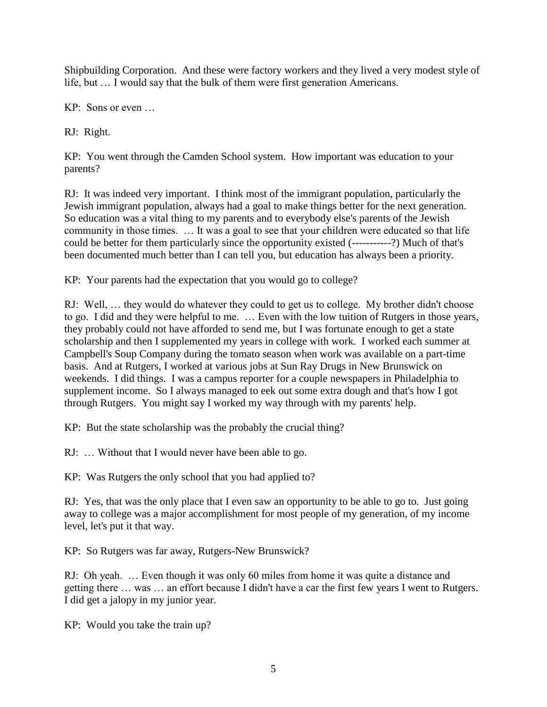Shipbuilding Corporation. And these were factory workers and they lived a very modest style of life, but … I would say that the bulk of them were first generation Americans.

KP: Sons or even …

RJ: Right.

KP: You went through the Camden School system. How important was education to your parents?

RJ: It was indeed very important. I think most of the immigrant population, particularly the Jewish immigrant population, always had a goal to make things better for the next generation. So education was a vital thing to my parents and to everybody else's parents of the Jewish community in those times. … It was a goal to see that your children were educated so that life could be better for them particularly since the opportunity existed (-----------?) Much of that's been documented much better than I can tell you, but education has always been a priority.

KP: Your parents had the expectation that you would go to college?

RJ: Well, … they would do whatever they could to get us to college. My brother didn't choose to go. I did and they were helpful to me. … Even with the low tuition of Rutgers in those years, they probably could not have afforded to send me, but I was fortunate enough to get a state scholarship and then I supplemented my years in college with work. I worked each summer at Campbell's Soup Company during the tomato season when work was available on a part-time basis. And at Rutgers, I worked at various jobs at Sun Ray Drugs in New Brunswick on weekends. I did things. I was a campus reporter for a couple newspapers in Philadelphia to supplement income. So I always managed to eek out some extra dough and that's how I got through Rutgers. You might say I worked my way through with my parents' help.

KP: But the state scholarship was the probably the crucial thing?

RJ: … Without that I would never have been able to go.

KP: Was Rutgers the only school that you had applied to?

RJ: Yes, that was the only place that I even saw an opportunity to be able to go to. Just going away to college was a major accomplishment for most people of my generation, of my income level, let's put it that way.

KP: So Rutgers was far away, Rutgers-New Brunswick?

RJ: Oh yeah. … Even though it was only 60 miles from home it was quite a distance and getting there … was … an effort because I didn't have a car the first few years I went to Rutgers. I did get a jalopy in my junior year.

KP: Would you take the train up?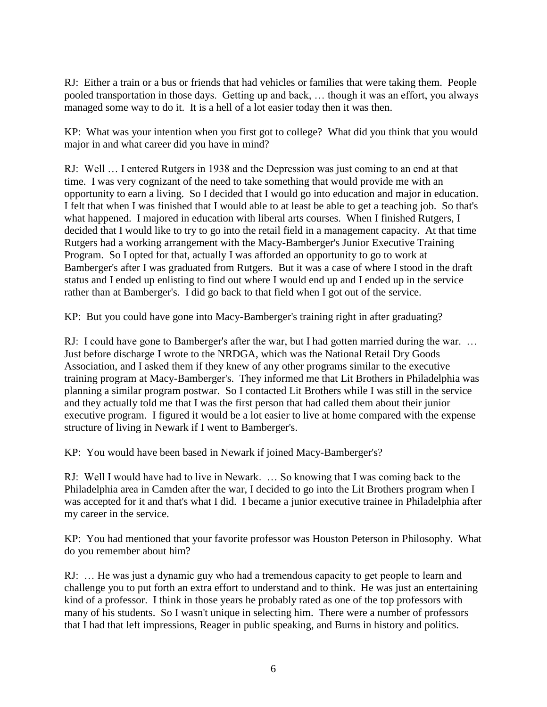RJ: Either a train or a bus or friends that had vehicles or families that were taking them. People pooled transportation in those days. Getting up and back, … though it was an effort, you always managed some way to do it. It is a hell of a lot easier today then it was then.

KP: What was your intention when you first got to college? What did you think that you would major in and what career did you have in mind?

RJ: Well … I entered Rutgers in 1938 and the Depression was just coming to an end at that time. I was very cognizant of the need to take something that would provide me with an opportunity to earn a living. So I decided that I would go into education and major in education. I felt that when I was finished that I would able to at least be able to get a teaching job. So that's what happened. I majored in education with liberal arts courses. When I finished Rutgers, I decided that I would like to try to go into the retail field in a management capacity. At that time Rutgers had a working arrangement with the Macy-Bamberger's Junior Executive Training Program. So I opted for that, actually I was afforded an opportunity to go to work at Bamberger's after I was graduated from Rutgers. But it was a case of where I stood in the draft status and I ended up enlisting to find out where I would end up and I ended up in the service rather than at Bamberger's. I did go back to that field when I got out of the service.

KP: But you could have gone into Macy-Bamberger's training right in after graduating?

RJ: I could have gone to Bamberger's after the war, but I had gotten married during the war. … Just before discharge I wrote to the NRDGA, which was the National Retail Dry Goods Association, and I asked them if they knew of any other programs similar to the executive training program at Macy-Bamberger's. They informed me that Lit Brothers in Philadelphia was planning a similar program postwar. So I contacted Lit Brothers while I was still in the service and they actually told me that I was the first person that had called them about their junior executive program. I figured it would be a lot easier to live at home compared with the expense structure of living in Newark if I went to Bamberger's.

KP: You would have been based in Newark if joined Macy-Bamberger's?

RJ: Well I would have had to live in Newark. … So knowing that I was coming back to the Philadelphia area in Camden after the war, I decided to go into the Lit Brothers program when I was accepted for it and that's what I did. I became a junior executive trainee in Philadelphia after my career in the service.

KP: You had mentioned that your favorite professor was Houston Peterson in Philosophy. What do you remember about him?

RJ: … He was just a dynamic guy who had a tremendous capacity to get people to learn and challenge you to put forth an extra effort to understand and to think. He was just an entertaining kind of a professor. I think in those years he probably rated as one of the top professors with many of his students. So I wasn't unique in selecting him. There were a number of professors that I had that left impressions, Reager in public speaking, and Burns in history and politics.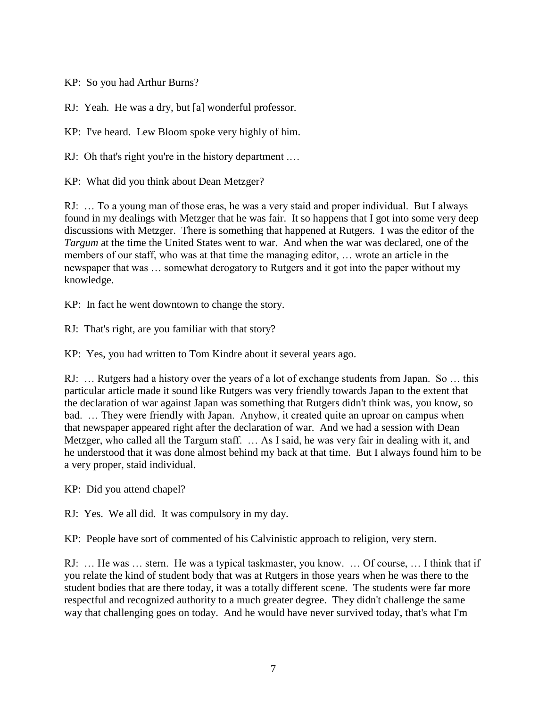KP: So you had Arthur Burns?

RJ: Yeah. He was a dry, but [a] wonderful professor.

KP: I've heard. Lew Bloom spoke very highly of him.

RJ: Oh that's right you're in the history department ....

KP: What did you think about Dean Metzger?

RJ: … To a young man of those eras, he was a very staid and proper individual. But I always found in my dealings with Metzger that he was fair. It so happens that I got into some very deep discussions with Metzger. There is something that happened at Rutgers. I was the editor of the *Targum* at the time the United States went to war. And when the war was declared, one of the members of our staff, who was at that time the managing editor, … wrote an article in the newspaper that was … somewhat derogatory to Rutgers and it got into the paper without my knowledge.

KP: In fact he went downtown to change the story.

RJ: That's right, are you familiar with that story?

KP: Yes, you had written to Tom Kindre about it several years ago.

RJ: … Rutgers had a history over the years of a lot of exchange students from Japan. So … this particular article made it sound like Rutgers was very friendly towards Japan to the extent that the declaration of war against Japan was something that Rutgers didn't think was, you know, so bad. … They were friendly with Japan. Anyhow, it created quite an uproar on campus when that newspaper appeared right after the declaration of war. And we had a session with Dean Metzger, who called all the Targum staff. … As I said, he was very fair in dealing with it, and he understood that it was done almost behind my back at that time. But I always found him to be a very proper, staid individual.

KP: Did you attend chapel?

RJ: Yes. We all did. It was compulsory in my day.

KP: People have sort of commented of his Calvinistic approach to religion, very stern.

RJ: … He was … stern. He was a typical taskmaster, you know. … Of course, … I think that if you relate the kind of student body that was at Rutgers in those years when he was there to the student bodies that are there today, it was a totally different scene. The students were far more respectful and recognized authority to a much greater degree. They didn't challenge the same way that challenging goes on today. And he would have never survived today, that's what I'm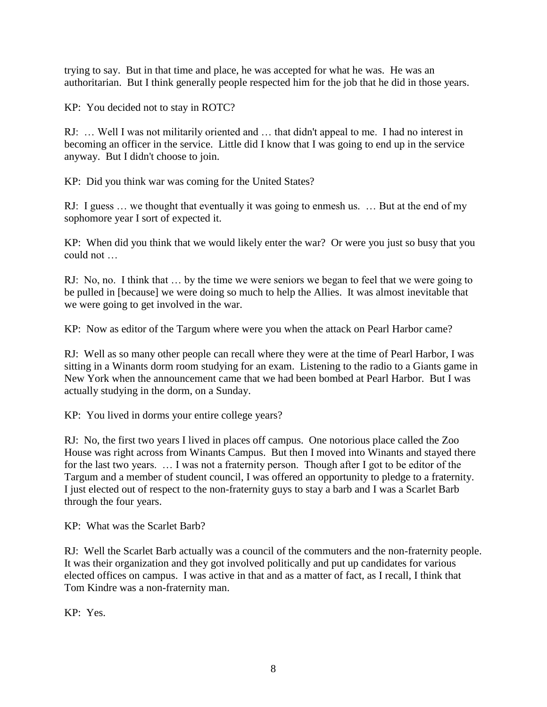trying to say. But in that time and place, he was accepted for what he was. He was an authoritarian. But I think generally people respected him for the job that he did in those years.

KP: You decided not to stay in ROTC?

RJ: … Well I was not militarily oriented and … that didn't appeal to me. I had no interest in becoming an officer in the service. Little did I know that I was going to end up in the service anyway. But I didn't choose to join.

KP: Did you think war was coming for the United States?

RJ: I guess … we thought that eventually it was going to enmesh us. … But at the end of my sophomore year I sort of expected it.

KP: When did you think that we would likely enter the war? Or were you just so busy that you could not …

RJ: No, no. I think that … by the time we were seniors we began to feel that we were going to be pulled in [because] we were doing so much to help the Allies. It was almost inevitable that we were going to get involved in the war.

KP: Now as editor of the Targum where were you when the attack on Pearl Harbor came?

RJ: Well as so many other people can recall where they were at the time of Pearl Harbor, I was sitting in a Winants dorm room studying for an exam. Listening to the radio to a Giants game in New York when the announcement came that we had been bombed at Pearl Harbor. But I was actually studying in the dorm, on a Sunday.

KP: You lived in dorms your entire college years?

RJ: No, the first two years I lived in places off campus. One notorious place called the Zoo House was right across from Winants Campus. But then I moved into Winants and stayed there for the last two years. … I was not a fraternity person. Though after I got to be editor of the Targum and a member of student council, I was offered an opportunity to pledge to a fraternity. I just elected out of respect to the non-fraternity guys to stay a barb and I was a Scarlet Barb through the four years.

KP: What was the Scarlet Barb?

RJ: Well the Scarlet Barb actually was a council of the commuters and the non-fraternity people. It was their organization and they got involved politically and put up candidates for various elected offices on campus. I was active in that and as a matter of fact, as I recall, I think that Tom Kindre was a non-fraternity man.

KP: Yes.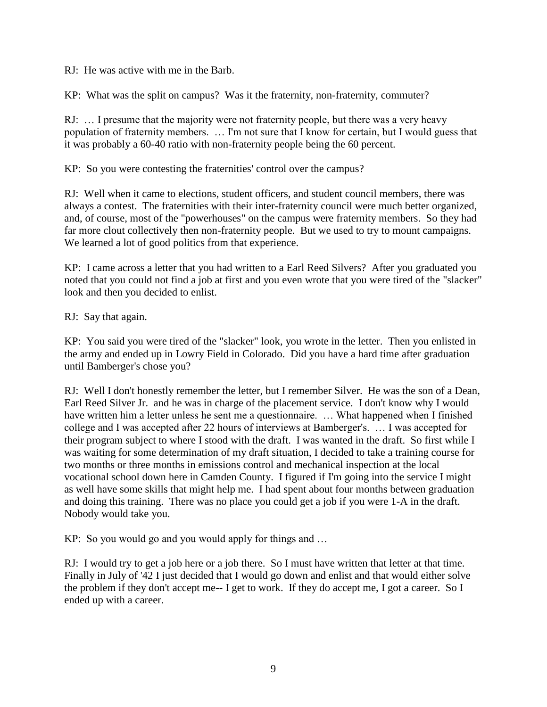RJ: He was active with me in the Barb.

KP: What was the split on campus? Was it the fraternity, non-fraternity, commuter?

RJ: … I presume that the majority were not fraternity people, but there was a very heavy population of fraternity members. … I'm not sure that I know for certain, but I would guess that it was probably a 60-40 ratio with non-fraternity people being the 60 percent.

KP: So you were contesting the fraternities' control over the campus?

RJ: Well when it came to elections, student officers, and student council members, there was always a contest. The fraternities with their inter-fraternity council were much better organized, and, of course, most of the "powerhouses" on the campus were fraternity members. So they had far more clout collectively then non-fraternity people. But we used to try to mount campaigns. We learned a lot of good politics from that experience.

KP: I came across a letter that you had written to a Earl Reed Silvers? After you graduated you noted that you could not find a job at first and you even wrote that you were tired of the "slacker" look and then you decided to enlist.

RJ: Say that again.

KP: You said you were tired of the "slacker" look, you wrote in the letter. Then you enlisted in the army and ended up in Lowry Field in Colorado. Did you have a hard time after graduation until Bamberger's chose you?

RJ: Well I don't honestly remember the letter, but I remember Silver. He was the son of a Dean, Earl Reed Silver Jr. and he was in charge of the placement service. I don't know why I would have written him a letter unless he sent me a questionnaire. ... What happened when I finished college and I was accepted after 22 hours of interviews at Bamberger's. … I was accepted for their program subject to where I stood with the draft. I was wanted in the draft. So first while I was waiting for some determination of my draft situation, I decided to take a training course for two months or three months in emissions control and mechanical inspection at the local vocational school down here in Camden County. I figured if I'm going into the service I might as well have some skills that might help me. I had spent about four months between graduation and doing this training. There was no place you could get a job if you were 1-A in the draft. Nobody would take you.

KP: So you would go and you would apply for things and …

RJ: I would try to get a job here or a job there. So I must have written that letter at that time. Finally in July of '42 I just decided that I would go down and enlist and that would either solve the problem if they don't accept me-- I get to work. If they do accept me, I got a career. So I ended up with a career.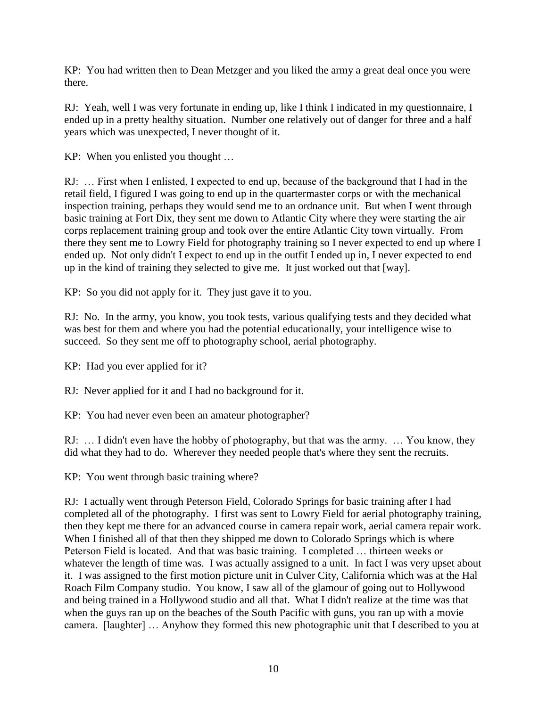KP: You had written then to Dean Metzger and you liked the army a great deal once you were there.

RJ: Yeah, well I was very fortunate in ending up, like I think I indicated in my questionnaire, I ended up in a pretty healthy situation. Number one relatively out of danger for three and a half years which was unexpected, I never thought of it.

KP: When you enlisted you thought …

RJ: … First when I enlisted, I expected to end up, because of the background that I had in the retail field, I figured I was going to end up in the quartermaster corps or with the mechanical inspection training, perhaps they would send me to an ordnance unit. But when I went through basic training at Fort Dix, they sent me down to Atlantic City where they were starting the air corps replacement training group and took over the entire Atlantic City town virtually. From there they sent me to Lowry Field for photography training so I never expected to end up where I ended up. Not only didn't I expect to end up in the outfit I ended up in, I never expected to end up in the kind of training they selected to give me. It just worked out that [way].

KP: So you did not apply for it. They just gave it to you.

RJ: No. In the army, you know, you took tests, various qualifying tests and they decided what was best for them and where you had the potential educationally, your intelligence wise to succeed. So they sent me off to photography school, aerial photography.

KP: Had you ever applied for it?

RJ: Never applied for it and I had no background for it.

KP: You had never even been an amateur photographer?

RJ: … I didn't even have the hobby of photography, but that was the army. … You know, they did what they had to do. Wherever they needed people that's where they sent the recruits.

KP: You went through basic training where?

RJ: I actually went through Peterson Field, Colorado Springs for basic training after I had completed all of the photography. I first was sent to Lowry Field for aerial photography training, then they kept me there for an advanced course in camera repair work, aerial camera repair work. When I finished all of that then they shipped me down to Colorado Springs which is where Peterson Field is located. And that was basic training. I completed … thirteen weeks or whatever the length of time was. I was actually assigned to a unit. In fact I was very upset about it. I was assigned to the first motion picture unit in Culver City, California which was at the Hal Roach Film Company studio. You know, I saw all of the glamour of going out to Hollywood and being trained in a Hollywood studio and all that. What I didn't realize at the time was that when the guys ran up on the beaches of the South Pacific with guns, you ran up with a movie camera. [laughter] … Anyhow they formed this new photographic unit that I described to you at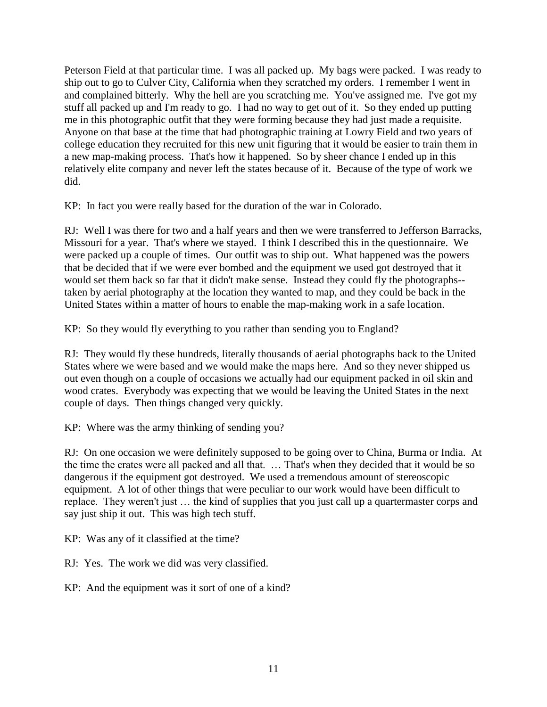Peterson Field at that particular time. I was all packed up. My bags were packed. I was ready to ship out to go to Culver City, California when they scratched my orders. I remember I went in and complained bitterly. Why the hell are you scratching me. You've assigned me. I've got my stuff all packed up and I'm ready to go. I had no way to get out of it. So they ended up putting me in this photographic outfit that they were forming because they had just made a requisite. Anyone on that base at the time that had photographic training at Lowry Field and two years of college education they recruited for this new unit figuring that it would be easier to train them in a new map-making process. That's how it happened. So by sheer chance I ended up in this relatively elite company and never left the states because of it. Because of the type of work we did.

KP: In fact you were really based for the duration of the war in Colorado.

RJ: Well I was there for two and a half years and then we were transferred to Jefferson Barracks, Missouri for a year. That's where we stayed. I think I described this in the questionnaire. We were packed up a couple of times. Our outfit was to ship out. What happened was the powers that be decided that if we were ever bombed and the equipment we used got destroyed that it would set them back so far that it didn't make sense. Instead they could fly the photographs- taken by aerial photography at the location they wanted to map, and they could be back in the United States within a matter of hours to enable the map-making work in a safe location.

KP: So they would fly everything to you rather than sending you to England?

RJ: They would fly these hundreds, literally thousands of aerial photographs back to the United States where we were based and we would make the maps here. And so they never shipped us out even though on a couple of occasions we actually had our equipment packed in oil skin and wood crates. Everybody was expecting that we would be leaving the United States in the next couple of days. Then things changed very quickly.

KP: Where was the army thinking of sending you?

RJ: On one occasion we were definitely supposed to be going over to China, Burma or India. At the time the crates were all packed and all that. … That's when they decided that it would be so dangerous if the equipment got destroyed. We used a tremendous amount of stereoscopic equipment. A lot of other things that were peculiar to our work would have been difficult to replace. They weren't just … the kind of supplies that you just call up a quartermaster corps and say just ship it out. This was high tech stuff.

KP: Was any of it classified at the time?

RJ: Yes. The work we did was very classified.

KP: And the equipment was it sort of one of a kind?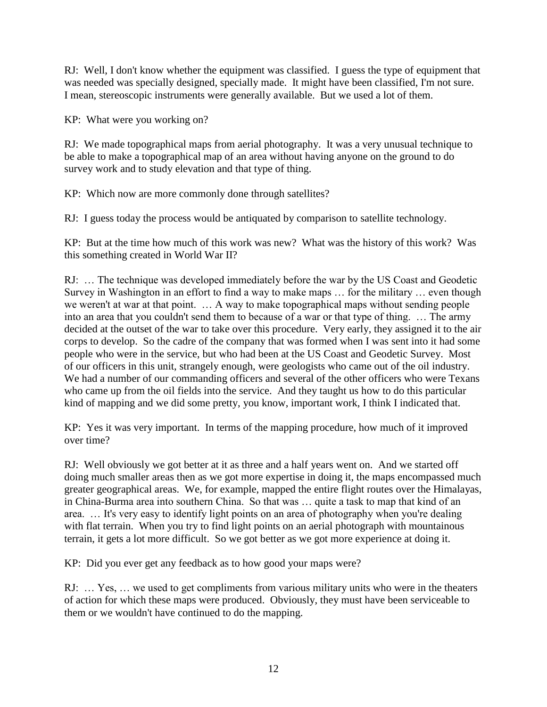RJ: Well, I don't know whether the equipment was classified. I guess the type of equipment that was needed was specially designed, specially made. It might have been classified, I'm not sure. I mean, stereoscopic instruments were generally available. But we used a lot of them.

KP: What were you working on?

RJ: We made topographical maps from aerial photography. It was a very unusual technique to be able to make a topographical map of an area without having anyone on the ground to do survey work and to study elevation and that type of thing.

KP: Which now are more commonly done through satellites?

RJ: I guess today the process would be antiquated by comparison to satellite technology.

KP: But at the time how much of this work was new? What was the history of this work? Was this something created in World War II?

RJ: … The technique was developed immediately before the war by the US Coast and Geodetic Survey in Washington in an effort to find a way to make maps … for the military … even though we weren't at war at that point. … A way to make topographical maps without sending people into an area that you couldn't send them to because of a war or that type of thing. … The army decided at the outset of the war to take over this procedure. Very early, they assigned it to the air corps to develop. So the cadre of the company that was formed when I was sent into it had some people who were in the service, but who had been at the US Coast and Geodetic Survey. Most of our officers in this unit, strangely enough, were geologists who came out of the oil industry. We had a number of our commanding officers and several of the other officers who were Texans who came up from the oil fields into the service. And they taught us how to do this particular kind of mapping and we did some pretty, you know, important work, I think I indicated that.

KP: Yes it was very important. In terms of the mapping procedure, how much of it improved over time?

RJ: Well obviously we got better at it as three and a half years went on. And we started off doing much smaller areas then as we got more expertise in doing it, the maps encompassed much greater geographical areas. We, for example, mapped the entire flight routes over the Himalayas, in China-Burma area into southern China. So that was … quite a task to map that kind of an area. … It's very easy to identify light points on an area of photography when you're dealing with flat terrain. When you try to find light points on an aerial photograph with mountainous terrain, it gets a lot more difficult. So we got better as we got more experience at doing it.

KP: Did you ever get any feedback as to how good your maps were?

RJ: … Yes, … we used to get compliments from various military units who were in the theaters of action for which these maps were produced. Obviously, they must have been serviceable to them or we wouldn't have continued to do the mapping.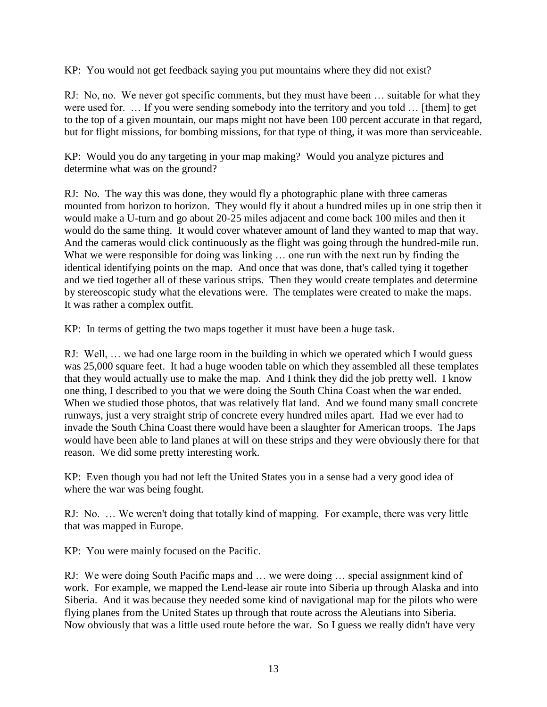KP: You would not get feedback saying you put mountains where they did not exist?

RJ: No, no. We never got specific comments, but they must have been … suitable for what they were used for. … If you were sending somebody into the territory and you told … [them] to get to the top of a given mountain, our maps might not have been 100 percent accurate in that regard, but for flight missions, for bombing missions, for that type of thing, it was more than serviceable.

KP: Would you do any targeting in your map making? Would you analyze pictures and determine what was on the ground?

RJ: No. The way this was done, they would fly a photographic plane with three cameras mounted from horizon to horizon. They would fly it about a hundred miles up in one strip then it would make a U-turn and go about 20-25 miles adjacent and come back 100 miles and then it would do the same thing. It would cover whatever amount of land they wanted to map that way. And the cameras would click continuously as the flight was going through the hundred-mile run. What we were responsible for doing was linking ... one run with the next run by finding the identical identifying points on the map. And once that was done, that's called tying it together and we tied together all of these various strips. Then they would create templates and determine by stereoscopic study what the elevations were. The templates were created to make the maps. It was rather a complex outfit.

KP: In terms of getting the two maps together it must have been a huge task.

RJ: Well, … we had one large room in the building in which we operated which I would guess was 25,000 square feet. It had a huge wooden table on which they assembled all these templates that they would actually use to make the map. And I think they did the job pretty well. I know one thing, I described to you that we were doing the South China Coast when the war ended. When we studied those photos, that was relatively flat land. And we found many small concrete runways, just a very straight strip of concrete every hundred miles apart. Had we ever had to invade the South China Coast there would have been a slaughter for American troops. The Japs would have been able to land planes at will on these strips and they were obviously there for that reason. We did some pretty interesting work.

KP: Even though you had not left the United States you in a sense had a very good idea of where the war was being fought.

RJ: No. … We weren't doing that totally kind of mapping. For example, there was very little that was mapped in Europe.

KP: You were mainly focused on the Pacific.

RJ: We were doing South Pacific maps and … we were doing … special assignment kind of work. For example, we mapped the Lend-lease air route into Siberia up through Alaska and into Siberia. And it was because they needed some kind of navigational map for the pilots who were flying planes from the United States up through that route across the Aleutians into Siberia. Now obviously that was a little used route before the war. So I guess we really didn't have very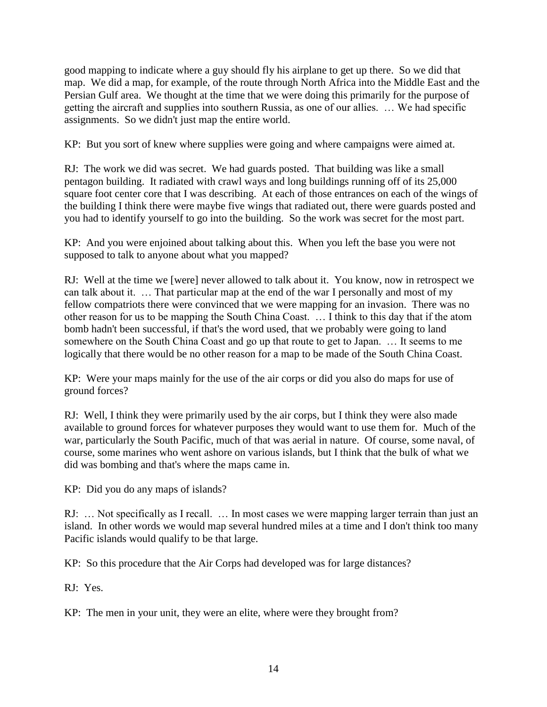good mapping to indicate where a guy should fly his airplane to get up there. So we did that map. We did a map, for example, of the route through North Africa into the Middle East and the Persian Gulf area. We thought at the time that we were doing this primarily for the purpose of getting the aircraft and supplies into southern Russia, as one of our allies. … We had specific assignments. So we didn't just map the entire world.

KP: But you sort of knew where supplies were going and where campaigns were aimed at.

RJ: The work we did was secret. We had guards posted. That building was like a small pentagon building. It radiated with crawl ways and long buildings running off of its 25,000 square foot center core that I was describing. At each of those entrances on each of the wings of the building I think there were maybe five wings that radiated out, there were guards posted and you had to identify yourself to go into the building. So the work was secret for the most part.

KP: And you were enjoined about talking about this. When you left the base you were not supposed to talk to anyone about what you mapped?

RJ: Well at the time we [were] never allowed to talk about it. You know, now in retrospect we can talk about it. … That particular map at the end of the war I personally and most of my fellow compatriots there were convinced that we were mapping for an invasion. There was no other reason for us to be mapping the South China Coast. … I think to this day that if the atom bomb hadn't been successful, if that's the word used, that we probably were going to land somewhere on the South China Coast and go up that route to get to Japan. … It seems to me logically that there would be no other reason for a map to be made of the South China Coast.

KP: Were your maps mainly for the use of the air corps or did you also do maps for use of ground forces?

RJ: Well, I think they were primarily used by the air corps, but I think they were also made available to ground forces for whatever purposes they would want to use them for. Much of the war, particularly the South Pacific, much of that was aerial in nature. Of course, some naval, of course, some marines who went ashore on various islands, but I think that the bulk of what we did was bombing and that's where the maps came in.

KP: Did you do any maps of islands?

RJ: … Not specifically as I recall. … In most cases we were mapping larger terrain than just an island. In other words we would map several hundred miles at a time and I don't think too many Pacific islands would qualify to be that large.

KP: So this procedure that the Air Corps had developed was for large distances?

RJ: Yes.

KP: The men in your unit, they were an elite, where were they brought from?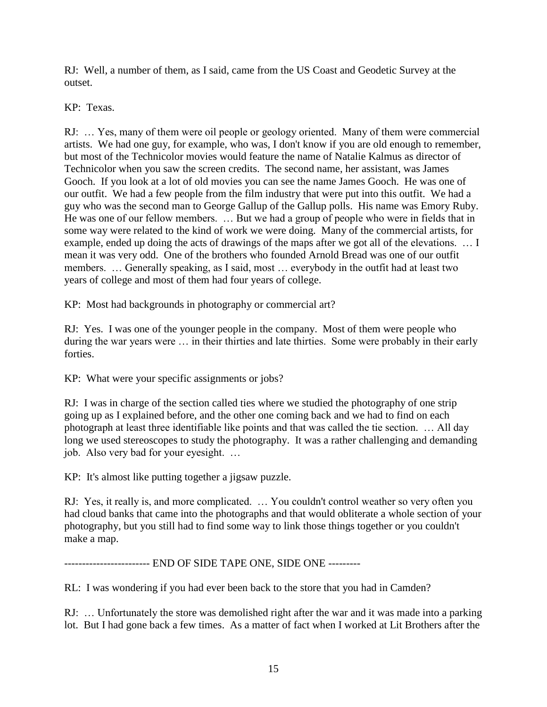RJ: Well, a number of them, as I said, came from the US Coast and Geodetic Survey at the outset.

KP: Texas.

RJ: … Yes, many of them were oil people or geology oriented. Many of them were commercial artists. We had one guy, for example, who was, I don't know if you are old enough to remember, but most of the Technicolor movies would feature the name of Natalie Kalmus as director of Technicolor when you saw the screen credits. The second name, her assistant, was James Gooch. If you look at a lot of old movies you can see the name James Gooch. He was one of our outfit. We had a few people from the film industry that were put into this outfit. We had a guy who was the second man to George Gallup of the Gallup polls. His name was Emory Ruby. He was one of our fellow members. … But we had a group of people who were in fields that in some way were related to the kind of work we were doing. Many of the commercial artists, for example, ended up doing the acts of drawings of the maps after we got all of the elevations. … I mean it was very odd. One of the brothers who founded Arnold Bread was one of our outfit members. … Generally speaking, as I said, most … everybody in the outfit had at least two years of college and most of them had four years of college.

KP: Most had backgrounds in photography or commercial art?

RJ: Yes. I was one of the younger people in the company. Most of them were people who during the war years were … in their thirties and late thirties. Some were probably in their early forties.

KP: What were your specific assignments or jobs?

RJ: I was in charge of the section called ties where we studied the photography of one strip going up as I explained before, and the other one coming back and we had to find on each photograph at least three identifiable like points and that was called the tie section. … All day long we used stereoscopes to study the photography. It was a rather challenging and demanding job. Also very bad for your eyesight. …

KP: It's almost like putting together a jigsaw puzzle.

RJ: Yes, it really is, and more complicated. … You couldn't control weather so very often you had cloud banks that came into the photographs and that would obliterate a whole section of your photography, but you still had to find some way to link those things together or you couldn't make a map.

------------------------ END OF SIDE TAPE ONE, SIDE ONE ---------

RL: I was wondering if you had ever been back to the store that you had in Camden?

RJ: … Unfortunately the store was demolished right after the war and it was made into a parking lot. But I had gone back a few times. As a matter of fact when I worked at Lit Brothers after the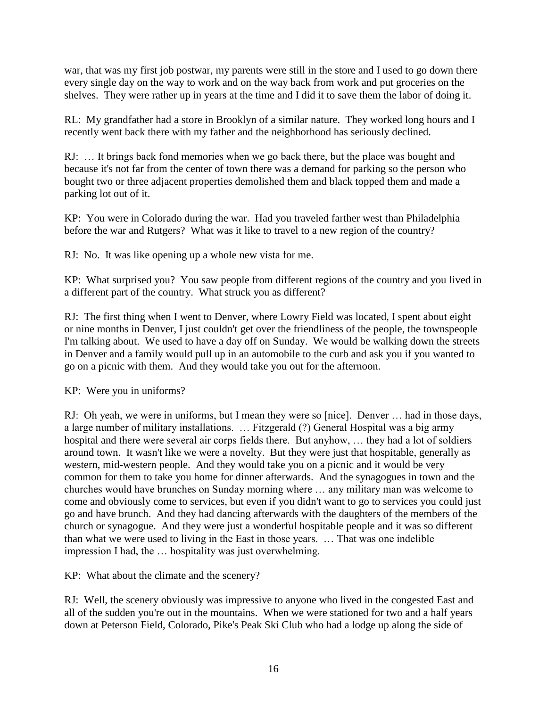war, that was my first job postwar, my parents were still in the store and I used to go down there every single day on the way to work and on the way back from work and put groceries on the shelves. They were rather up in years at the time and I did it to save them the labor of doing it.

RL: My grandfather had a store in Brooklyn of a similar nature. They worked long hours and I recently went back there with my father and the neighborhood has seriously declined.

RJ: … It brings back fond memories when we go back there, but the place was bought and because it's not far from the center of town there was a demand for parking so the person who bought two or three adjacent properties demolished them and black topped them and made a parking lot out of it.

KP: You were in Colorado during the war. Had you traveled farther west than Philadelphia before the war and Rutgers? What was it like to travel to a new region of the country?

RJ: No. It was like opening up a whole new vista for me.

KP: What surprised you? You saw people from different regions of the country and you lived in a different part of the country. What struck you as different?

RJ: The first thing when I went to Denver, where Lowry Field was located, I spent about eight or nine months in Denver, I just couldn't get over the friendliness of the people, the townspeople I'm talking about. We used to have a day off on Sunday. We would be walking down the streets in Denver and a family would pull up in an automobile to the curb and ask you if you wanted to go on a picnic with them. And they would take you out for the afternoon.

KP: Were you in uniforms?

RJ: Oh yeah, we were in uniforms, but I mean they were so [nice]. Denver … had in those days, a large number of military installations. … Fitzgerald (?) General Hospital was a big army hospital and there were several air corps fields there. But anyhow, … they had a lot of soldiers around town. It wasn't like we were a novelty. But they were just that hospitable, generally as western, mid-western people. And they would take you on a picnic and it would be very common for them to take you home for dinner afterwards. And the synagogues in town and the churches would have brunches on Sunday morning where … any military man was welcome to come and obviously come to services, but even if you didn't want to go to services you could just go and have brunch. And they had dancing afterwards with the daughters of the members of the church or synagogue. And they were just a wonderful hospitable people and it was so different than what we were used to living in the East in those years. … That was one indelible impression I had, the … hospitality was just overwhelming.

KP: What about the climate and the scenery?

RJ: Well, the scenery obviously was impressive to anyone who lived in the congested East and all of the sudden you're out in the mountains. When we were stationed for two and a half years down at Peterson Field, Colorado, Pike's Peak Ski Club who had a lodge up along the side of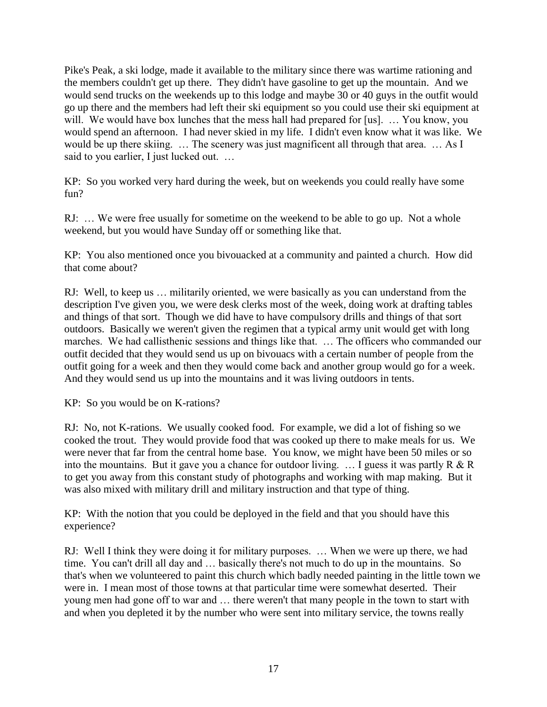Pike's Peak, a ski lodge, made it available to the military since there was wartime rationing and the members couldn't get up there. They didn't have gasoline to get up the mountain. And we would send trucks on the weekends up to this lodge and maybe 30 or 40 guys in the outfit would go up there and the members had left their ski equipment so you could use their ski equipment at will. We would have box lunches that the mess hall had prepared for [us]. ... You know, you would spend an afternoon. I had never skied in my life. I didn't even know what it was like. We would be up there skiing. ... The scenery was just magnificent all through that area. ... As I said to you earlier, I just lucked out. ...

KP: So you worked very hard during the week, but on weekends you could really have some fun?

RJ: ... We were free usually for sometime on the weekend to be able to go up. Not a whole weekend, but you would have Sunday off or something like that.

KP: You also mentioned once you bivouacked at a community and painted a church. How did that come about?

RJ: Well, to keep us … militarily oriented, we were basically as you can understand from the description I've given you, we were desk clerks most of the week, doing work at drafting tables and things of that sort. Though we did have to have compulsory drills and things of that sort outdoors. Basically we weren't given the regimen that a typical army unit would get with long marches. We had callisthenic sessions and things like that. … The officers who commanded our outfit decided that they would send us up on bivouacs with a certain number of people from the outfit going for a week and then they would come back and another group would go for a week. And they would send us up into the mountains and it was living outdoors in tents.

KP: So you would be on K-rations?

RJ: No, not K-rations. We usually cooked food. For example, we did a lot of fishing so we cooked the trout. They would provide food that was cooked up there to make meals for us. We were never that far from the central home base. You know, we might have been 50 miles or so into the mountains. But it gave you a chance for outdoor living.  $\ldots$  I guess it was partly R & R to get you away from this constant study of photographs and working with map making. But it was also mixed with military drill and military instruction and that type of thing.

KP: With the notion that you could be deployed in the field and that you should have this experience?

RJ: Well I think they were doing it for military purposes. … When we were up there, we had time. You can't drill all day and … basically there's not much to do up in the mountains. So that's when we volunteered to paint this church which badly needed painting in the little town we were in. I mean most of those towns at that particular time were somewhat deserted. Their young men had gone off to war and … there weren't that many people in the town to start with and when you depleted it by the number who were sent into military service, the towns really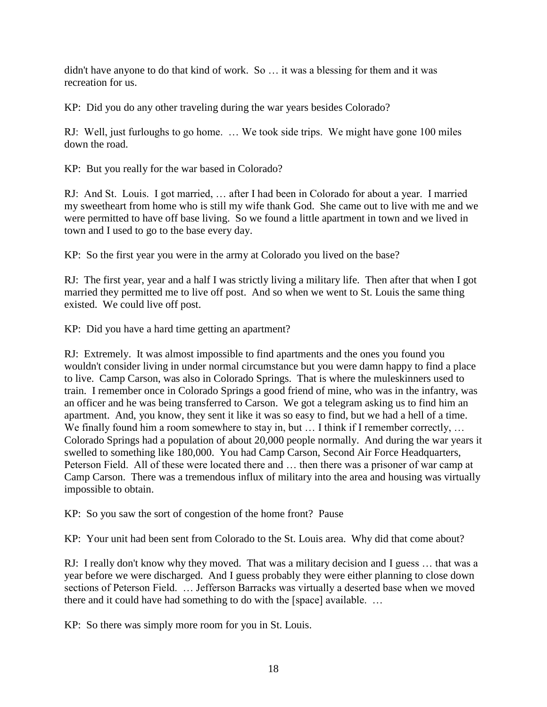didn't have anyone to do that kind of work. So … it was a blessing for them and it was recreation for us.

KP: Did you do any other traveling during the war years besides Colorado?

RJ: Well, just furloughs to go home. … We took side trips. We might have gone 100 miles down the road.

KP: But you really for the war based in Colorado?

RJ: And St. Louis. I got married, … after I had been in Colorado for about a year. I married my sweetheart from home who is still my wife thank God. She came out to live with me and we were permitted to have off base living. So we found a little apartment in town and we lived in town and I used to go to the base every day.

KP: So the first year you were in the army at Colorado you lived on the base?

RJ: The first year, year and a half I was strictly living a military life. Then after that when I got married they permitted me to live off post. And so when we went to St. Louis the same thing existed. We could live off post.

KP: Did you have a hard time getting an apartment?

RJ: Extremely. It was almost impossible to find apartments and the ones you found you wouldn't consider living in under normal circumstance but you were damn happy to find a place to live. Camp Carson, was also in Colorado Springs. That is where the muleskinners used to train. I remember once in Colorado Springs a good friend of mine, who was in the infantry, was an officer and he was being transferred to Carson. We got a telegram asking us to find him an apartment. And, you know, they sent it like it was so easy to find, but we had a hell of a time. We finally found him a room somewhere to stay in, but ... I think if I remember correctly, ... Colorado Springs had a population of about 20,000 people normally. And during the war years it swelled to something like 180,000. You had Camp Carson, Second Air Force Headquarters, Peterson Field. All of these were located there and … then there was a prisoner of war camp at Camp Carson. There was a tremendous influx of military into the area and housing was virtually impossible to obtain.

KP: So you saw the sort of congestion of the home front? Pause

KP: Your unit had been sent from Colorado to the St. Louis area. Why did that come about?

RJ: I really don't know why they moved. That was a military decision and I guess … that was a year before we were discharged. And I guess probably they were either planning to close down sections of Peterson Field. … Jefferson Barracks was virtually a deserted base when we moved there and it could have had something to do with the [space] available. …

KP: So there was simply more room for you in St. Louis.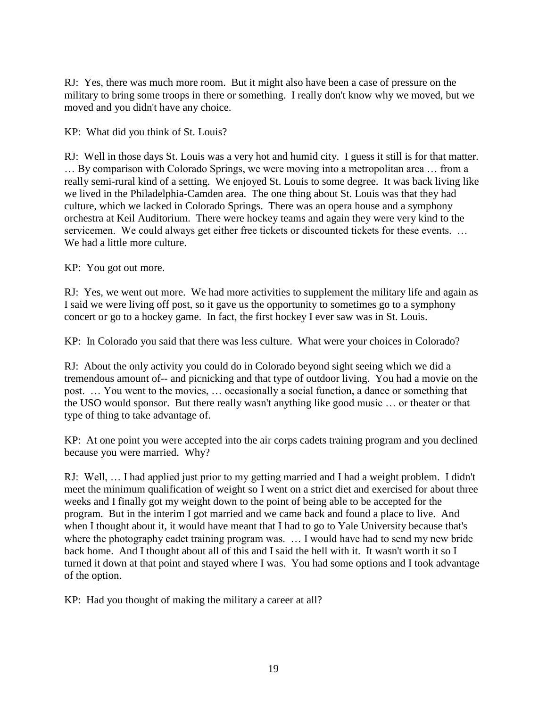RJ: Yes, there was much more room. But it might also have been a case of pressure on the military to bring some troops in there or something. I really don't know why we moved, but we moved and you didn't have any choice.

KP: What did you think of St. Louis?

RJ: Well in those days St. Louis was a very hot and humid city. I guess it still is for that matter. … By comparison with Colorado Springs, we were moving into a metropolitan area … from a really semi-rural kind of a setting. We enjoyed St. Louis to some degree. It was back living like we lived in the Philadelphia-Camden area. The one thing about St. Louis was that they had culture, which we lacked in Colorado Springs. There was an opera house and a symphony orchestra at Keil Auditorium. There were hockey teams and again they were very kind to the servicemen. We could always get either free tickets or discounted tickets for these events. ... We had a little more culture.

KP: You got out more.

RJ: Yes, we went out more. We had more activities to supplement the military life and again as I said we were living off post, so it gave us the opportunity to sometimes go to a symphony concert or go to a hockey game. In fact, the first hockey I ever saw was in St. Louis.

KP: In Colorado you said that there was less culture. What were your choices in Colorado?

RJ: About the only activity you could do in Colorado beyond sight seeing which we did a tremendous amount of-- and picnicking and that type of outdoor living. You had a movie on the post. … You went to the movies, … occasionally a social function, a dance or something that the USO would sponsor. But there really wasn't anything like good music … or theater or that type of thing to take advantage of.

KP: At one point you were accepted into the air corps cadets training program and you declined because you were married. Why?

RJ: Well, … I had applied just prior to my getting married and I had a weight problem. I didn't meet the minimum qualification of weight so I went on a strict diet and exercised for about three weeks and I finally got my weight down to the point of being able to be accepted for the program. But in the interim I got married and we came back and found a place to live. And when I thought about it, it would have meant that I had to go to Yale University because that's where the photography cadet training program was. ... I would have had to send my new bride back home. And I thought about all of this and I said the hell with it. It wasn't worth it so I turned it down at that point and stayed where I was. You had some options and I took advantage of the option.

KP: Had you thought of making the military a career at all?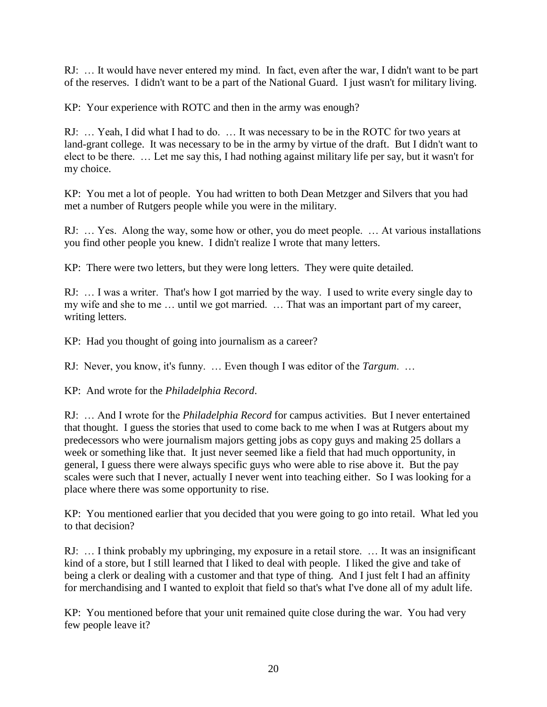RJ: … It would have never entered my mind. In fact, even after the war, I didn't want to be part of the reserves. I didn't want to be a part of the National Guard. I just wasn't for military living.

KP: Your experience with ROTC and then in the army was enough?

RJ: … Yeah, I did what I had to do. … It was necessary to be in the ROTC for two years at land-grant college. It was necessary to be in the army by virtue of the draft. But I didn't want to elect to be there. … Let me say this, I had nothing against military life per say, but it wasn't for my choice.

KP: You met a lot of people. You had written to both Dean Metzger and Silvers that you had met a number of Rutgers people while you were in the military.

RJ: … Yes. Along the way, some how or other, you do meet people. … At various installations you find other people you knew. I didn't realize I wrote that many letters.

KP: There were two letters, but they were long letters. They were quite detailed.

RJ: … I was a writer. That's how I got married by the way. I used to write every single day to my wife and she to me … until we got married. … That was an important part of my career, writing letters.

KP: Had you thought of going into journalism as a career?

RJ: Never, you know, it's funny. … Even though I was editor of the *Targum*. …

KP: And wrote for the *Philadelphia Record*.

RJ: … And I wrote for the *Philadelphia Record* for campus activities. But I never entertained that thought. I guess the stories that used to come back to me when I was at Rutgers about my predecessors who were journalism majors getting jobs as copy guys and making 25 dollars a week or something like that. It just never seemed like a field that had much opportunity, in general, I guess there were always specific guys who were able to rise above it. But the pay scales were such that I never, actually I never went into teaching either. So I was looking for a place where there was some opportunity to rise.

KP: You mentioned earlier that you decided that you were going to go into retail. What led you to that decision?

RJ: … I think probably my upbringing, my exposure in a retail store. … It was an insignificant kind of a store, but I still learned that I liked to deal with people. I liked the give and take of being a clerk or dealing with a customer and that type of thing. And I just felt I had an affinity for merchandising and I wanted to exploit that field so that's what I've done all of my adult life.

KP: You mentioned before that your unit remained quite close during the war. You had very few people leave it?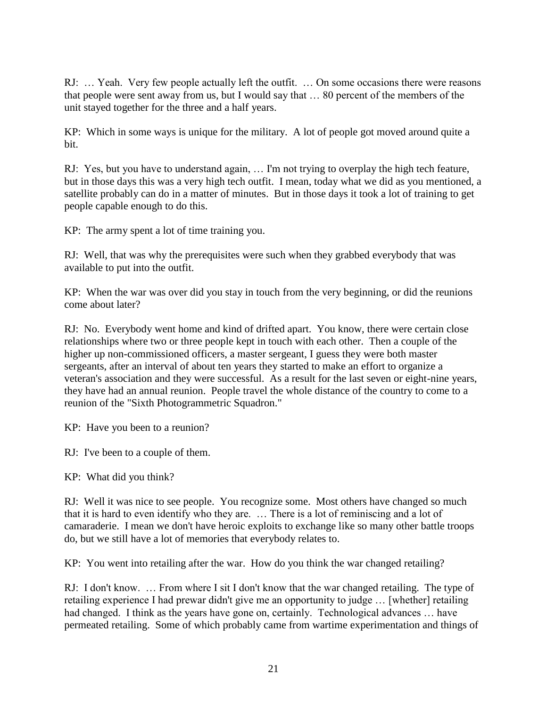RJ: … Yeah. Very few people actually left the outfit. … On some occasions there were reasons that people were sent away from us, but I would say that … 80 percent of the members of the unit stayed together for the three and a half years.

KP: Which in some ways is unique for the military. A lot of people got moved around quite a bit.

RJ: Yes, but you have to understand again, … I'm not trying to overplay the high tech feature, but in those days this was a very high tech outfit. I mean, today what we did as you mentioned, a satellite probably can do in a matter of minutes. But in those days it took a lot of training to get people capable enough to do this.

KP: The army spent a lot of time training you.

RJ: Well, that was why the prerequisites were such when they grabbed everybody that was available to put into the outfit.

KP: When the war was over did you stay in touch from the very beginning, or did the reunions come about later?

RJ: No. Everybody went home and kind of drifted apart. You know, there were certain close relationships where two or three people kept in touch with each other. Then a couple of the higher up non-commissioned officers, a master sergeant, I guess they were both master sergeants, after an interval of about ten years they started to make an effort to organize a veteran's association and they were successful. As a result for the last seven or eight-nine years, they have had an annual reunion. People travel the whole distance of the country to come to a reunion of the "Sixth Photogrammetric Squadron."

KP: Have you been to a reunion?

RJ: I've been to a couple of them.

KP: What did you think?

RJ: Well it was nice to see people. You recognize some. Most others have changed so much that it is hard to even identify who they are. … There is a lot of reminiscing and a lot of camaraderie. I mean we don't have heroic exploits to exchange like so many other battle troops do, but we still have a lot of memories that everybody relates to.

KP: You went into retailing after the war. How do you think the war changed retailing?

RJ: I don't know. … From where I sit I don't know that the war changed retailing. The type of retailing experience I had prewar didn't give me an opportunity to judge … [whether] retailing had changed. I think as the years have gone on, certainly. Technological advances … have permeated retailing. Some of which probably came from wartime experimentation and things of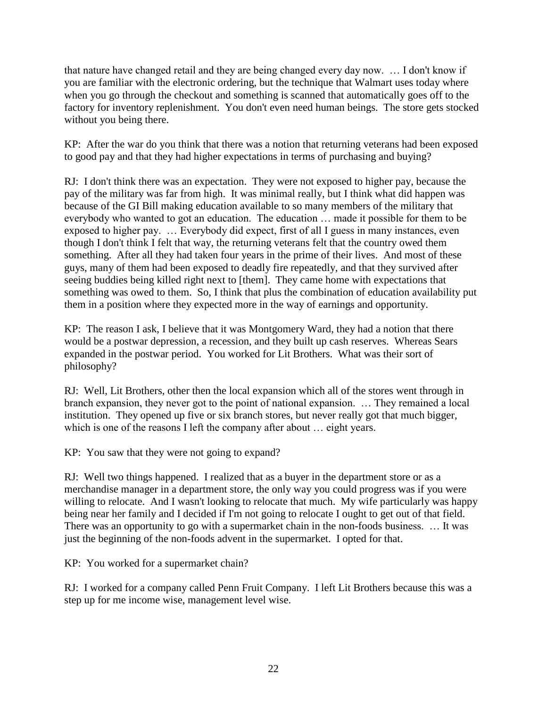that nature have changed retail and they are being changed every day now. … I don't know if you are familiar with the electronic ordering, but the technique that Walmart uses today where when you go through the checkout and something is scanned that automatically goes off to the factory for inventory replenishment. You don't even need human beings. The store gets stocked without you being there.

KP: After the war do you think that there was a notion that returning veterans had been exposed to good pay and that they had higher expectations in terms of purchasing and buying?

RJ: I don't think there was an expectation. They were not exposed to higher pay, because the pay of the military was far from high. It was minimal really, but I think what did happen was because of the GI Bill making education available to so many members of the military that everybody who wanted to got an education. The education … made it possible for them to be exposed to higher pay. … Everybody did expect, first of all I guess in many instances, even though I don't think I felt that way, the returning veterans felt that the country owed them something. After all they had taken four years in the prime of their lives. And most of these guys, many of them had been exposed to deadly fire repeatedly, and that they survived after seeing buddies being killed right next to [them]. They came home with expectations that something was owed to them. So, I think that plus the combination of education availability put them in a position where they expected more in the way of earnings and opportunity.

KP: The reason I ask, I believe that it was Montgomery Ward, they had a notion that there would be a postwar depression, a recession, and they built up cash reserves. Whereas Sears expanded in the postwar period. You worked for Lit Brothers. What was their sort of philosophy?

RJ: Well, Lit Brothers, other then the local expansion which all of the stores went through in branch expansion, they never got to the point of national expansion. … They remained a local institution. They opened up five or six branch stores, but never really got that much bigger, which is one of the reasons I left the company after about ... eight years.

KP: You saw that they were not going to expand?

RJ: Well two things happened. I realized that as a buyer in the department store or as a merchandise manager in a department store, the only way you could progress was if you were willing to relocate. And I wasn't looking to relocate that much. My wife particularly was happy being near her family and I decided if I'm not going to relocate I ought to get out of that field. There was an opportunity to go with a supermarket chain in the non-foods business. … It was just the beginning of the non-foods advent in the supermarket. I opted for that.

KP: You worked for a supermarket chain?

RJ: I worked for a company called Penn Fruit Company. I left Lit Brothers because this was a step up for me income wise, management level wise.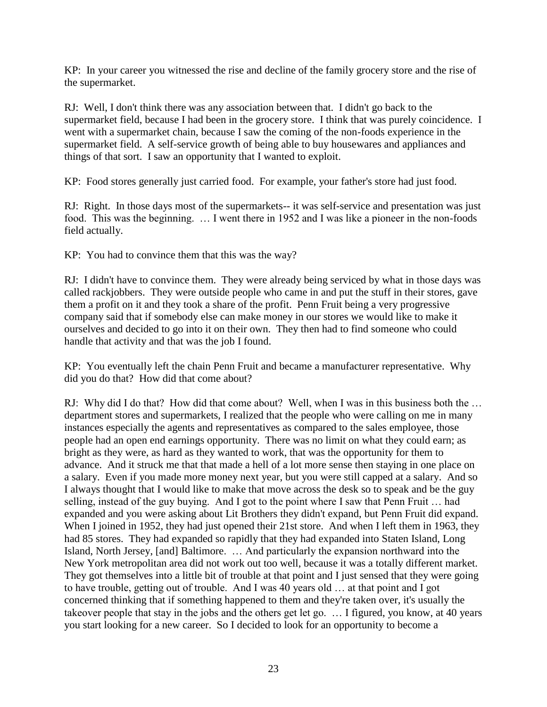KP: In your career you witnessed the rise and decline of the family grocery store and the rise of the supermarket.

RJ: Well, I don't think there was any association between that. I didn't go back to the supermarket field, because I had been in the grocery store. I think that was purely coincidence. I went with a supermarket chain, because I saw the coming of the non-foods experience in the supermarket field. A self-service growth of being able to buy housewares and appliances and things of that sort. I saw an opportunity that I wanted to exploit.

KP: Food stores generally just carried food. For example, your father's store had just food.

RJ: Right. In those days most of the supermarkets-- it was self-service and presentation was just food. This was the beginning. … I went there in 1952 and I was like a pioneer in the non-foods field actually.

KP: You had to convince them that this was the way?

RJ: I didn't have to convince them. They were already being serviced by what in those days was called rackjobbers. They were outside people who came in and put the stuff in their stores, gave them a profit on it and they took a share of the profit. Penn Fruit being a very progressive company said that if somebody else can make money in our stores we would like to make it ourselves and decided to go into it on their own. They then had to find someone who could handle that activity and that was the job I found.

KP: You eventually left the chain Penn Fruit and became a manufacturer representative. Why did you do that? How did that come about?

RJ: Why did I do that? How did that come about? Well, when I was in this business both the … department stores and supermarkets, I realized that the people who were calling on me in many instances especially the agents and representatives as compared to the sales employee, those people had an open end earnings opportunity. There was no limit on what they could earn; as bright as they were, as hard as they wanted to work, that was the opportunity for them to advance. And it struck me that that made a hell of a lot more sense then staying in one place on a salary. Even if you made more money next year, but you were still capped at a salary. And so I always thought that I would like to make that move across the desk so to speak and be the guy selling, instead of the guy buying. And I got to the point where I saw that Penn Fruit … had expanded and you were asking about Lit Brothers they didn't expand, but Penn Fruit did expand. When I joined in 1952, they had just opened their 21st store. And when I left them in 1963, they had 85 stores. They had expanded so rapidly that they had expanded into Staten Island, Long Island, North Jersey, [and] Baltimore. … And particularly the expansion northward into the New York metropolitan area did not work out too well, because it was a totally different market. They got themselves into a little bit of trouble at that point and I just sensed that they were going to have trouble, getting out of trouble. And I was 40 years old … at that point and I got concerned thinking that if something happened to them and they're taken over, it's usually the takeover people that stay in the jobs and the others get let go. … I figured, you know, at 40 years you start looking for a new career. So I decided to look for an opportunity to become a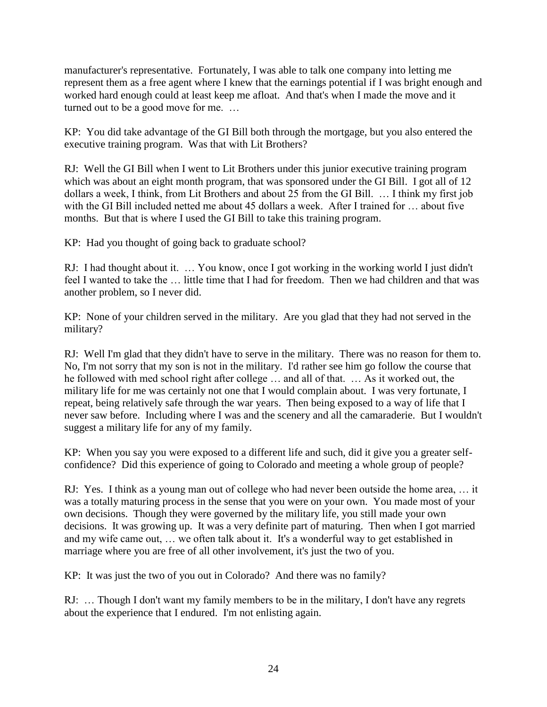manufacturer's representative. Fortunately, I was able to talk one company into letting me represent them as a free agent where I knew that the earnings potential if I was bright enough and worked hard enough could at least keep me afloat. And that's when I made the move and it turned out to be a good move for me. …

KP: You did take advantage of the GI Bill both through the mortgage, but you also entered the executive training program. Was that with Lit Brothers?

RJ: Well the GI Bill when I went to Lit Brothers under this junior executive training program which was about an eight month program, that was sponsored under the GI Bill. I got all of 12 dollars a week, I think, from Lit Brothers and about 25 from the GI Bill. … I think my first job with the GI Bill included netted me about 45 dollars a week. After I trained for … about five months. But that is where I used the GI Bill to take this training program.

KP: Had you thought of going back to graduate school?

RJ: I had thought about it. … You know, once I got working in the working world I just didn't feel I wanted to take the … little time that I had for freedom. Then we had children and that was another problem, so I never did.

KP: None of your children served in the military. Are you glad that they had not served in the military?

RJ: Well I'm glad that they didn't have to serve in the military. There was no reason for them to. No, I'm not sorry that my son is not in the military. I'd rather see him go follow the course that he followed with med school right after college … and all of that. … As it worked out, the military life for me was certainly not one that I would complain about. I was very fortunate, I repeat, being relatively safe through the war years. Then being exposed to a way of life that I never saw before. Including where I was and the scenery and all the camaraderie. But I wouldn't suggest a military life for any of my family.

KP: When you say you were exposed to a different life and such, did it give you a greater selfconfidence? Did this experience of going to Colorado and meeting a whole group of people?

RJ: Yes. I think as a young man out of college who had never been outside the home area, … it was a totally maturing process in the sense that you were on your own. You made most of your own decisions. Though they were governed by the military life, you still made your own decisions. It was growing up. It was a very definite part of maturing. Then when I got married and my wife came out, … we often talk about it. It's a wonderful way to get established in marriage where you are free of all other involvement, it's just the two of you.

KP: It was just the two of you out in Colorado? And there was no family?

RJ: … Though I don't want my family members to be in the military, I don't have any regrets about the experience that I endured. I'm not enlisting again.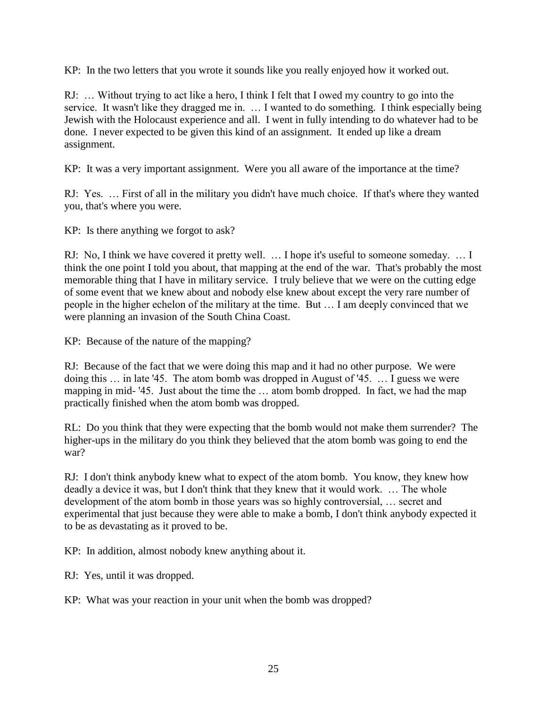KP: In the two letters that you wrote it sounds like you really enjoyed how it worked out.

RJ: … Without trying to act like a hero, I think I felt that I owed my country to go into the service. It wasn't like they dragged me in. … I wanted to do something. I think especially being Jewish with the Holocaust experience and all. I went in fully intending to do whatever had to be done. I never expected to be given this kind of an assignment. It ended up like a dream assignment.

KP: It was a very important assignment. Were you all aware of the importance at the time?

RJ: Yes. … First of all in the military you didn't have much choice. If that's where they wanted you, that's where you were.

KP: Is there anything we forgot to ask?

RJ: No, I think we have covered it pretty well. … I hope it's useful to someone someday. … I think the one point I told you about, that mapping at the end of the war. That's probably the most memorable thing that I have in military service. I truly believe that we were on the cutting edge of some event that we knew about and nobody else knew about except the very rare number of people in the higher echelon of the military at the time. But … I am deeply convinced that we were planning an invasion of the South China Coast.

KP: Because of the nature of the mapping?

RJ: Because of the fact that we were doing this map and it had no other purpose. We were doing this … in late '45. The atom bomb was dropped in August of '45. … I guess we were mapping in mid- '45. Just about the time the … atom bomb dropped. In fact, we had the map practically finished when the atom bomb was dropped.

RL: Do you think that they were expecting that the bomb would not make them surrender? The higher-ups in the military do you think they believed that the atom bomb was going to end the war?

RJ: I don't think anybody knew what to expect of the atom bomb. You know, they knew how deadly a device it was, but I don't think that they knew that it would work. … The whole development of the atom bomb in those years was so highly controversial, … secret and experimental that just because they were able to make a bomb, I don't think anybody expected it to be as devastating as it proved to be.

KP: In addition, almost nobody knew anything about it.

RJ: Yes, until it was dropped.

KP: What was your reaction in your unit when the bomb was dropped?